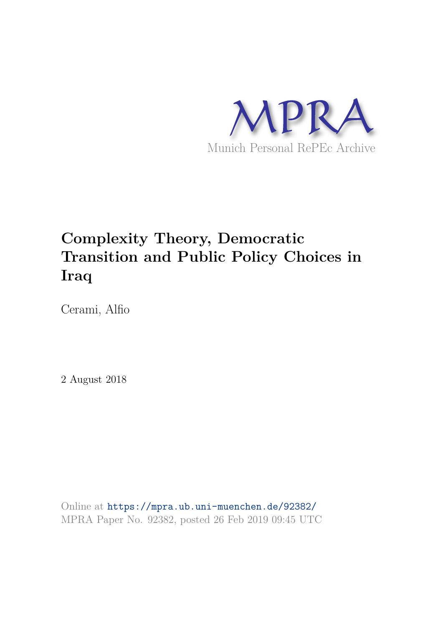

# **Complexity Theory, Democratic Transition and Public Policy Choices in Iraq**

Cerami, Alfio

2 August 2018

Online at https://mpra.ub.uni-muenchen.de/92382/ MPRA Paper No. 92382, posted 26 Feb 2019 09:45 UTC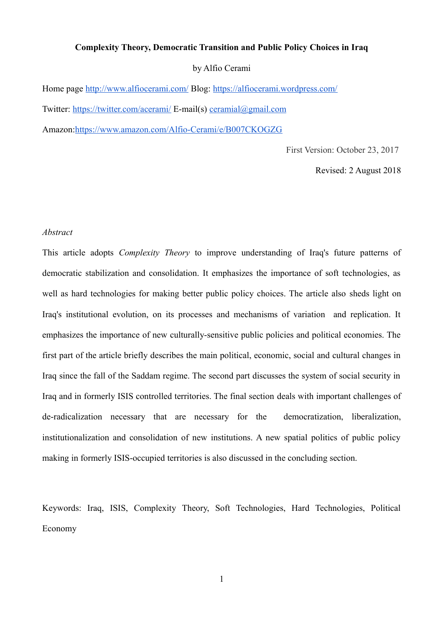## **Complexity Theory, Democratic Transition and Public Policy Choices in Iraq**

### by Alfio Cerami

Home page http://www.alfiocerami.com/ Blog: https://alfiocerami.wordpress.com/ Twitter: https://twitter.com/acerami/ E-mail(s) ceramial@gmail.com Amazon:https://www.amazon.com/Alfio-Cerami/e/B007CKOGZG

First Version: October 23, 2017

Revised: 2 August 2018

## *Abstract*

This article adopts *Complexity Theory* to improve understanding of Iraq's future patterns of democratic stabilization and consolidation. It emphasizes the importance of soft technologies, as well as hard technologies for making better public policy choices. The article also sheds light on Iraq's institutional evolution, on its processes and mechanisms of variation and replication. It emphasizes the importance of new culturally-sensitive public policies and political economies. The first part of the article briefly describes the main political, economic, social and cultural changes in Iraq since the fall of the Saddam regime. The second part discusses the system of social security in Iraq and in formerly ISIS controlled territories. The final section deals with important challenges of de-radicalization necessary that are necessary for the democratization, liberalization, institutionalization and consolidation of new institutions. A new spatial politics of public policy making in formerly ISIS-occupied territories is also discussed in the concluding section.

Keywords: Iraq, ISIS, Complexity Theory, Soft Technologies, Hard Technologies, Political Economy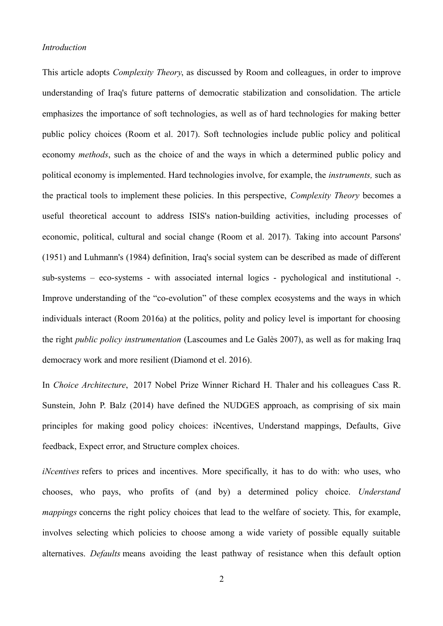### *Introduction*

This article adopts *Complexity Theory*, as discussed by Room and colleagues, in order to improve understanding of Iraq's future patterns of democratic stabilization and consolidation. The article emphasizes the importance of soft technologies, as well as of hard technologies for making better public policy choices (Room et al. 2017). Soft technologies include public policy and political economy *methods*, such as the choice of and the ways in which a determined public policy and political economy is implemented. Hard technologies involve, for example, the *instruments,* such as the practical tools to implement these policies. In this perspective, *Complexity Theory* becomes a useful theoretical account to address ISIS's nation-building activities, including processes of economic, political, cultural and social change (Room et al. 2017). Taking into account Parsons' (1951) and Luhmann's (1984) definition, Iraq's social system can be described as made of different sub-systems – eco-systems - with associated internal logics - pychological and institutional -. Improve understanding of the "co-evolution" of these complex ecosystems and the ways in which individuals interact (Room 2016a) at the politics, polity and policy level is important for choosing the right *public policy instrumentation* (Lascoumes and Le Galès 2007), as well as for making Iraq democracy work and more resilient (Diamond et el. 2016).

In *Choice Architecture*, 2017 Nobel Prize Winner Richard H. Thaler and his colleagues Cass R. Sunstein, John P. Balz (2014) have defined the NUDGES approach, as comprising of six main principles for making good policy choices: iNcentives, Understand mappings, Defaults, Give feedback, Expect error, and Structure complex choices.

*iNcentives* refers to prices and incentives. More specifically, it has to do with: who uses, who chooses, who pays, who profits of (and by) a determined policy choice. *Understand mappings* concerns the right policy choices that lead to the welfare of society. This, for example, involves selecting which policies to choose among a wide variety of possible equally suitable alternatives. *Defaults* means avoiding the least pathway of resistance when this default option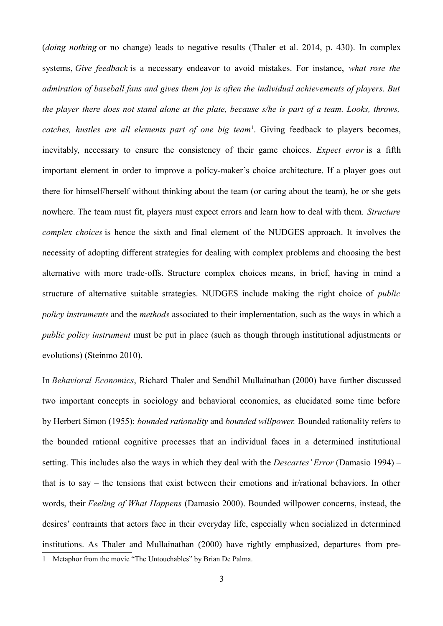(*doing nothing* or no change) leads to negative results (Thaler et al. 2014, p. 430). In complex systems, *Give feedback* is a necessary endeavor to avoid mistakes. For instance, *what rose the admiration of baseball fans and gives them joy is often the individual achievements of players. But the player there does not stand alone at the plate, because s/he is part of a team. Looks, throws,* catches, hustles are all elements part of one big team<sup>1</sup>. Giving feedback to players becomes, inevitably, necessary to ensure the consistency of their game choices. *Expect error* is a fifth important element in order to improve a policy-maker's choice architecture. If a player goes out there for himself/herself without thinking about the team (or caring about the team), he or she gets nowhere. The team must fit, players must expect errors and learn how to deal with them. *Structure complex choices* is hence the sixth and final element of the NUDGES approach. It involves the necessity of adopting different strategies for dealing with complex problems and choosing the best alternative with more trade-offs. Structure complex choices means, in brief, having in mind a structure of alternative suitable strategies. NUDGES include making the right choice of *public policy instruments* and the *methods* associated to their implementation, such as the ways in which a *public policy instrument* must be put in place (such as though through institutional adjustments or evolutions) (Steinmo 2010).

In *Behavioral Economics*, Richard Thaler and Sendhil Mullainathan (2000) have further discussed two important concepts in sociology and behavioral economics, as elucidated some time before by Herbert Simon (1955): *bounded rationality* and *bounded willpower.* Bounded rationality refers to the bounded rational cognitive processes that an individual faces in a determined institutional setting. This includes also the ways in which they deal with the *Descartes' Error* (Damasio 1994) – that is to say – the tensions that exist between their emotions and ir/rational behaviors. In other words, their *Feeling of What Happens* (Damasio 2000). Bounded willpower concerns, instead, the desires' contraints that actors face in their everyday life, especially when socialized in determined institutions. As Thaler and Mullainathan (2000) have rightly emphasized, departures from pre-1 Metaphor from the movie "The Untouchables" by Brian De Palma.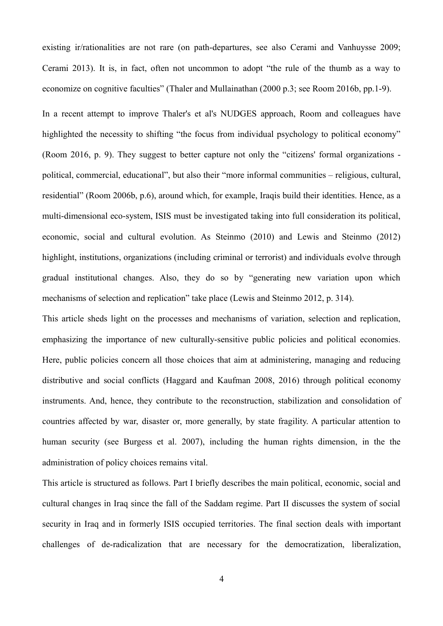existing ir/rationalities are not rare (on path-departures, see also Cerami and Vanhuysse 2009; Cerami 2013). It is, in fact, often not uncommon to adopt "the rule of the thumb as a way to economize on cognitive faculties" (Thaler and Mullainathan (2000 p.3; see Room 2016b, pp.1-9).

In a recent attempt to improve Thaler's et al's NUDGES approach, Room and colleagues have highlighted the necessity to shifting "the focus from individual psychology to political economy" (Room 2016, p. 9). They suggest to better capture not only the "citizens' formal organizations political, commercial, educational", but also their "more informal communities – religious, cultural, residential" (Room 2006b, p.6), around which, for example, Iraqis build their identities. Hence, as a multi-dimensional eco-system, ISIS must be investigated taking into full consideration its political, economic, social and cultural evolution. As Steinmo (2010) and Lewis and Steinmo (2012) highlight, institutions, organizations (including criminal or terrorist) and individuals evolve through gradual institutional changes. Also, they do so by "generating new variation upon which mechanisms of selection and replication" take place (Lewis and Steinmo 2012, p. 314).

This article sheds light on the processes and mechanisms of variation, selection and replication, emphasizing the importance of new culturally-sensitive public policies and political economies. Here, public policies concern all those choices that aim at administering, managing and reducing distributive and social conflicts (Haggard and Kaufman 2008, 2016) through political economy instruments. And, hence, they contribute to the reconstruction, stabilization and consolidation of countries affected by war, disaster or, more generally, by state fragility. A particular attention to human security (see Burgess et al. 2007), including the human rights dimension, in the the administration of policy choices remains vital.

This article is structured as follows. Part I briefly describes the main political, economic, social and cultural changes in Iraq since the fall of the Saddam regime. Part II discusses the system of social security in Iraq and in formerly ISIS occupied territories. The final section deals with important challenges of de-radicalization that are necessary for the democratization, liberalization,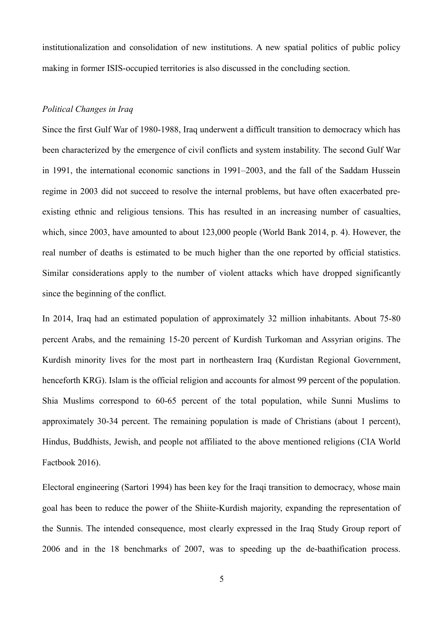institutionalization and consolidation of new institutions. A new spatial politics of public policy making in former ISIS-occupied territories is also discussed in the concluding section.

# *Political Changes in Iraq*

Since the first Gulf War of 1980-1988, Iraq underwent a difficult transition to democracy which has been characterized by the emergence of civil conflicts and system instability. The second Gulf War in 1991, the international economic sanctions in 1991–2003, and the fall of the Saddam Hussein regime in 2003 did not succeed to resolve the internal problems, but have often exacerbated preexisting ethnic and religious tensions. This has resulted in an increasing number of casualties, which, since 2003, have amounted to about 123,000 people (World Bank 2014, p. 4). However, the real number of deaths is estimated to be much higher than the one reported by official statistics. Similar considerations apply to the number of violent attacks which have dropped significantly since the beginning of the conflict.

In 2014, Iraq had an estimated population of approximately 32 million inhabitants. About 75-80 percent Arabs, and the remaining 15-20 percent of Kurdish Turkoman and Assyrian origins. The Kurdish minority lives for the most part in northeastern Iraq (Kurdistan Regional Government, henceforth KRG). Islam is the official religion and accounts for almost 99 percent of the population. Shia Muslims correspond to 60-65 percent of the total population, while Sunni Muslims to approximately 30-34 percent. The remaining population is made of Christians (about 1 percent), Hindus, Buddhists, Jewish, and people not affiliated to the above mentioned religions (CIA World Factbook 2016).

Electoral engineering (Sartori 1994) has been key for the Iraqi transition to democracy, whose main goal has been to reduce the power of the Shiite-Kurdish majority, expanding the representation of the Sunnis. The intended consequence, most clearly expressed in the Iraq Study Group report of 2006 and in the 18 benchmarks of 2007, was to speeding up the de-baathification process.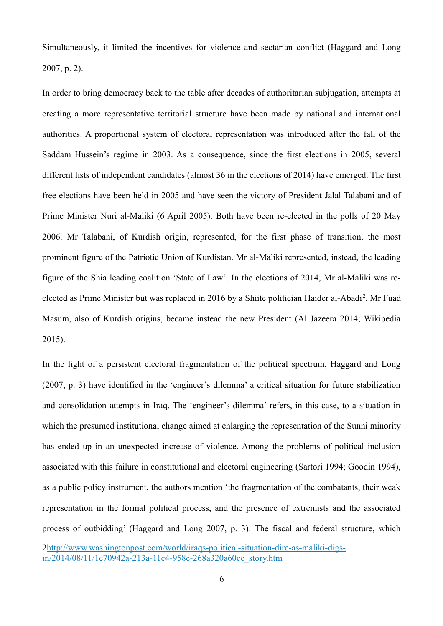Simultaneously, it limited the incentives for violence and sectarian conflict (Haggard and Long 2007, p. 2).

In order to bring democracy back to the table after decades of authoritarian subjugation, attempts at creating a more representative territorial structure have been made by national and international authorities. A proportional system of electoral representation was introduced after the fall of the Saddam Hussein's regime in 2003. As a consequence, since the first elections in 2005, several different lists of independent candidates (almost 36 in the elections of 2014) have emerged. The first free elections have been held in 2005 and have seen the victory of President Jalal Talabani and of Prime Minister Nuri al-Maliki (6 April 2005). Both have been re-elected in the polls of 20 May 2006. Mr Talabani, of Kurdish origin, represented, for the first phase of transition, the most prominent figure of the Patriotic Union of Kurdistan. Mr al-Maliki represented, instead, the leading figure of the Shia leading coalition 'State of Law'. In the elections of 2014, Mr al-Maliki was reelected as Prime Minister but was replaced in 2016 by a Shiite politician Haider al-Abadi<sup>2</sup>. Mr Fuad Masum, also of Kurdish origins, became instead the new President (Al Jazeera 2014; Wikipedia 2015).

In the light of a persistent electoral fragmentation of the political spectrum, Haggard and Long (2007, p. 3) have identified in the 'engineer's dilemma' a critical situation for future stabilization and consolidation attempts in Iraq. The 'engineer's dilemma' refers, in this case, to a situation in which the presumed institutional change aimed at enlarging the representation of the Sunni minority has ended up in an unexpected increase of violence. Among the problems of political inclusion associated with this failure in constitutional and electoral engineering (Sartori 1994; Goodin 1994), as a public policy instrument, the authors mention 'the fragmentation of the combatants, their weak representation in the formal political process, and the presence of extremists and the associated process of outbidding' (Haggard and Long 2007, p. 3). The fiscal and federal structure, which

<sup>2</sup>http://www.washingtonpost.com/world/iraqs-political-situation-dire-as-maliki-digsin/2014/08/11/1c70942a-213a-11e4-958c-268a320a60ce\_story.htm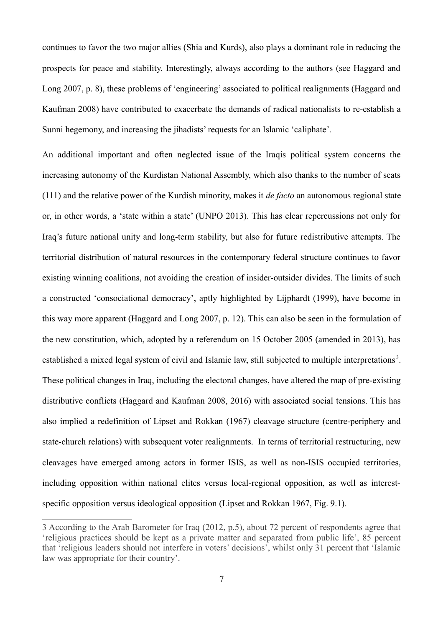continues to favor the two major allies (Shia and Kurds), also plays a dominant role in reducing the prospects for peace and stability. Interestingly, always according to the authors (see Haggard and Long 2007, p. 8), these problems of 'engineering' associated to political realignments (Haggard and Kaufman 2008) have contributed to exacerbate the demands of radical nationalists to re-establish a Sunni hegemony, and increasing the jihadists' requests for an Islamic 'caliphate'*.*

An additional important and often neglected issue of the Iraqis political system concerns the increasing autonomy of the Kurdistan National Assembly, which also thanks to the number of seats (111) and the relative power of the Kurdish minority, makes it *de facto* an autonomous regional state or, in other words, a 'state within a state' (UNPO 2013). This has clear repercussions not only for Iraq's future national unity and long-term stability, but also for future redistributive attempts. The territorial distribution of natural resources in the contemporary federal structure continues to favor existing winning coalitions, not avoiding the creation of insider-outsider divides. The limits of such a constructed 'consociational democracy', aptly highlighted by Lijphardt (1999), have become in this way more apparent (Haggard and Long 2007, p. 12). This can also be seen in the formulation of the new constitution, which, adopted by a referendum on 15 October 2005 (amended in 2013), has established a mixed legal system of civil and Islamic law, still subjected to multiple interpretations<sup>3</sup>. These political changes in Iraq, including the electoral changes, have altered the map of pre-existing distributive conflicts (Haggard and Kaufman 2008, 2016) with associated social tensions. This has also implied a redefinition of Lipset and Rokkan (1967) cleavage structure (centre-periphery and state-church relations) with subsequent voter realignments. In terms of territorial restructuring, new cleavages have emerged among actors in former ISIS, as well as non-ISIS occupied territories, including opposition within national elites versus local-regional opposition, as well as interestspecific opposition versus ideological opposition (Lipset and Rokkan 1967, Fig. 9.1).

<sup>3</sup> According to the Arab Barometer for Iraq (2012, p.5), about 72 percent of respondents agree that 'religious practices should be kept as a private matter and separated from public life', 85 percent that 'religious leaders should not interfere in voters' decisions', whilst only 31 percent that 'Islamic law was appropriate for their country'.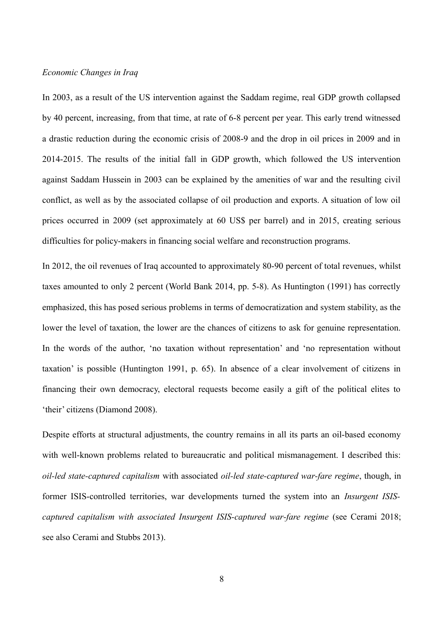## *Economic Changes in Iraq*

In 2003, as a result of the US intervention against the Saddam regime, real GDP growth collapsed by 40 percent, increasing, from that time, at rate of 6-8 percent per year. This early trend witnessed a drastic reduction during the economic crisis of 2008-9 and the drop in oil prices in 2009 and in 2014-2015. The results of the initial fall in GDP growth, which followed the US intervention against Saddam Hussein in 2003 can be explained by the amenities of war and the resulting civil conflict, as well as by the associated collapse of oil production and exports. A situation of low oil prices occurred in 2009 (set approximately at 60 US\$ per barrel) and in 2015, creating serious difficulties for policy-makers in financing social welfare and reconstruction programs.

In 2012, the oil revenues of Iraq accounted to approximately 80-90 percent of total revenues, whilst taxes amounted to only 2 percent (World Bank 2014, pp. 5-8). As Huntington (1991) has correctly emphasized, this has posed serious problems in terms of democratization and system stability, as the lower the level of taxation, the lower are the chances of citizens to ask for genuine representation. In the words of the author, 'no taxation without representation' and 'no representation without taxation' is possible (Huntington 1991, p. 65). In absence of a clear involvement of citizens in financing their own democracy, electoral requests become easily a gift of the political elites to 'their' citizens (Diamond 2008).

Despite efforts at structural adjustments, the country remains in all its parts an oil-based economy with well-known problems related to bureaucratic and political mismanagement. I described this: *oil-led state-captured capitalism* with associated *oil-led state-captured war-fare regime*, though, in former ISIS-controlled territories, war developments turned the system into an *Insurgent ISIScaptured capitalism with associated Insurgent ISIS-captured war-fare regime* (see Cerami 2018; see also Cerami and Stubbs 2013).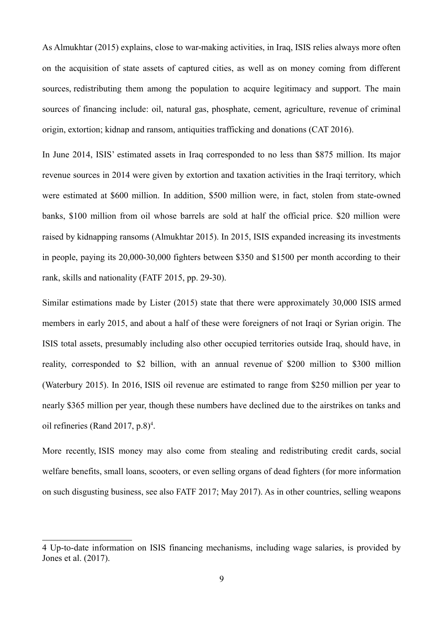As Almukhtar (2015) explains, close to war-making activities, in Iraq, ISIS relies always more often on the acquisition of state assets of captured cities, as well as on money coming from different sources, redistributing them among the population to acquire legitimacy and support. The main sources of financing include: oil, natural gas, phosphate, cement, agriculture, revenue of criminal origin, extortion; kidnap and ransom, antiquities trafficking and donations (CAT 2016).

In June 2014, ISIS' estimated assets in Iraq corresponded to no less than \$875 million. Its major revenue sources in 2014 were given by extortion and taxation activities in the Iraqi territory, which were estimated at \$600 million. In addition, \$500 million were, in fact, stolen from state-owned banks, \$100 million from oil whose barrels are sold at half the official price. \$20 million were raised by kidnapping ransoms (Almukhtar 2015). In 2015, ISIS expanded increasing its investments in people, paying its 20,000-30,000 fighters between \$350 and \$1500 per month according to their rank, skills and nationality (FATF 2015, pp. 29-30).

Similar estimations made by Lister (2015) state that there were approximately 30,000 ISIS armed members in early 2015, and about a half of these were foreigners of not Iraqi or Syrian origin. The ISIS total assets, presumably including also other occupied territories outside Iraq, should have, in reality, corresponded to \$2 billion, with an annual revenue of \$200 million to \$300 million (Waterbury 2015). In 2016, ISIS oil revenue are estimated to range from \$250 million per year to nearly \$365 million per year, though these numbers have declined due to the airstrikes on tanks and oil refineries (Rand 2017, p.8)<sup>4</sup>.

More recently, ISIS money may also come from stealing and redistributing credit cards, social welfare benefits, small loans, scooters, or even selling organs of dead fighters (for more information on such disgusting business, see also FATF 2017; May 2017). As in other countries, selling weapons

<sup>4</sup> Up-to-date information on ISIS financing mechanisms, including wage salaries, is provided by Jones et al. (2017).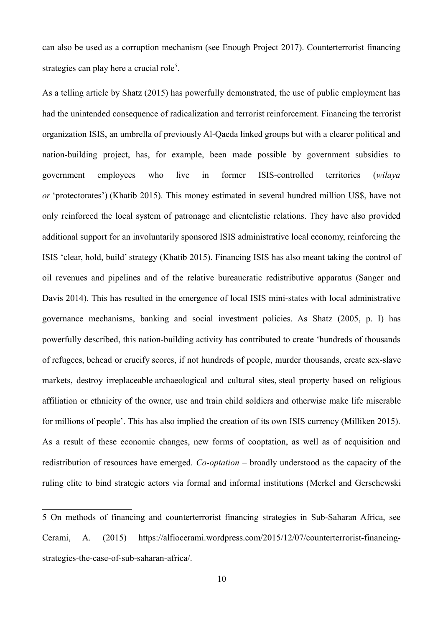can also be used as a corruption mechanism (see Enough Project 2017). Counterterrorist financing strategies can play here a crucial role<sup>5</sup>.

As a telling article by Shatz (2015) has powerfully demonstrated, the use of public employment has had the unintended consequence of radicalization and terrorist reinforcement. Financing the terrorist organization ISIS, an umbrella of previously Al-Qaeda linked groups but with a clearer political and nation-building project, has, for example, been made possible by government subsidies to government employees who live in former ISIS-controlled territories (*wilaya or* 'protectorates') (Khatib 2015). This money estimated in several hundred million US\$, have not only reinforced the local system of patronage and clientelistic relations. They have also provided additional support for an involuntarily sponsored ISIS administrative local economy, reinforcing the ISIS 'clear, hold, build' strategy (Khatib 2015). Financing ISIS has also meant taking the control of oil revenues and pipelines and of the relative bureaucratic redistributive apparatus (Sanger and Davis 2014). This has resulted in the emergence of local ISIS mini-states with local administrative governance mechanisms, banking and social investment policies. As Shatz (2005, p. I) has powerfully described, this nation-building activity has contributed to create 'hundreds of thousands of refugees, behead or crucify scores, if not hundreds of people, murder thousands, create sex-slave markets, destroy irreplaceable archaeological and cultural sites, steal property based on religious affiliation or ethnicity of the owner, use and train child soldiers and otherwise make life miserable for millions of people'. This has also implied the creation of its own ISIS currency (Milliken 2015). As a result of these economic changes, new forms of cooptation, as well as of acquisition and redistribution of resources have emerged. *Co-optation* – broadly understood as the capacity of the ruling elite to bind strategic actors via formal and informal institutions (Merkel and Gerschewski

<sup>5</sup> On methods of financing and counterterrorist financing strategies in Sub-Saharan Africa, see Cerami, A. (2015) https://alfiocerami.wordpress.com/2015/12/07/counterterrorist-financingstrategies-the-case-of-sub-saharan-africa/.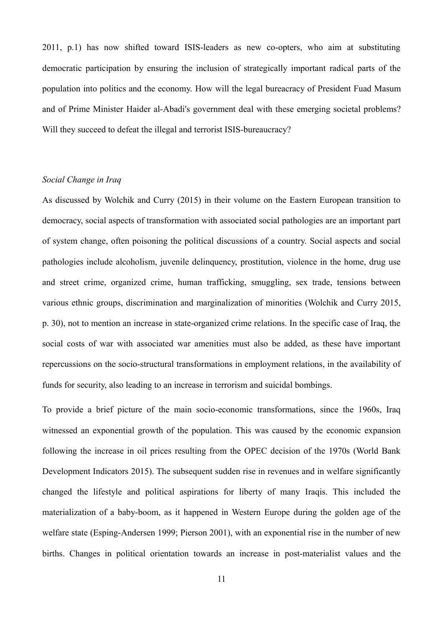2011, p.1) has now shifted toward ISIS-leaders as new co-opters, who aim at substituting democratic participation by ensuring the inclusion of strategically important radical parts of the population into politics and the economy. How will the legal bureacracy of President Fuad Masum and of Prime Minister Haider al-Abadi's government deal with these emerging societal problems? Will they succeed to defeat the illegal and terrorist ISIS-bureaucracy?

# *Social Change in Iraq*

As discussed by Wolchik and Curry (2015) in their volume on the Eastern European transition to democracy, social aspects of transformation with associated social pathologies are an important part of system change, often poisoning the political discussions of a country. Social aspects and social pathologies include alcoholism, juvenile delinquency, prostitution, violence in the home, drug use and street crime, organized crime, human trafficking, smuggling, sex trade, tensions between various ethnic groups, discrimination and marginalization of minorities (Wolchik and Curry 2015, p. 30), not to mention an increase in state-organized crime relations. In the specific case of Iraq, the social costs of war with associated war amenities must also be added, as these have important repercussions on the socio-structural transformations in employment relations, in the availability of funds for security, also leading to an increase in terrorism and suicidal bombings.

To provide a brief picture of the main socio-economic transformations, since the 1960s, Iraq witnessed an exponential growth of the population. This was caused by the economic expansion following the increase in oil prices resulting from the OPEC decision of the 1970s (World Bank Development Indicators 2015). The subsequent sudden rise in revenues and in welfare significantly changed the lifestyle and political aspirations for liberty of many Iraqis. This included the materialization of a baby-boom, as it happened in Western Europe during the golden age of the welfare state (Esping-Andersen 1999; Pierson 2001), with an exponential rise in the number of new births. Changes in political orientation towards an increase in post-materialist values and the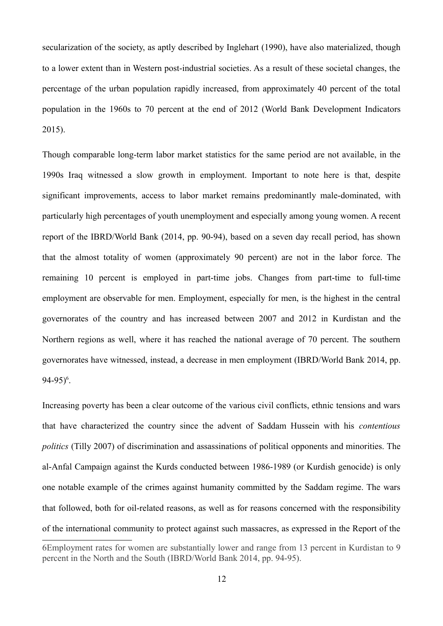secularization of the society, as aptly described by Inglehart (1990), have also materialized, though to a lower extent than in Western post-industrial societies. As a result of these societal changes, the percentage of the urban population rapidly increased, from approximately 40 percent of the total population in the 1960s to 70 percent at the end of 2012 (World Bank Development Indicators 2015).

Though comparable long-term labor market statistics for the same period are not available, in the 1990s Iraq witnessed a slow growth in employment. Important to note here is that, despite significant improvements, access to labor market remains predominantly male-dominated, with particularly high percentages of youth unemployment and especially among young women. A recent report of the IBRD/World Bank (2014, pp. 90-94), based on a seven day recall period, has shown that the almost totality of women (approximately 90 percent) are not in the labor force. The remaining 10 percent is employed in part-time jobs. Changes from part-time to full-time employment are observable for men. Employment, especially for men, is the highest in the central governorates of the country and has increased between 2007 and 2012 in Kurdistan and the Northern regions as well, where it has reached the national average of 70 percent. The southern governorates have witnessed, instead, a decrease in men employment (IBRD/World Bank 2014, pp.  $94-95$ <sup>6</sup>.

Increasing poverty has been a clear outcome of the various civil conflicts, ethnic tensions and wars that have characterized the country since the advent of Saddam Hussein with his *contentious politics* (Tilly 2007) of discrimination and assassinations of political opponents and minorities. The al-Anfal Campaign against the Kurds conducted between 1986-1989 (or Kurdish genocide) is only one notable example of the crimes against humanity committed by the Saddam regime. The wars that followed, both for oil-related reasons, as well as for reasons concerned with the responsibility of the international community to protect against such massacres, as expressed in the Report of the

<sup>6</sup>Employment rates for women are substantially lower and range from 13 percent in Kurdistan to 9 percent in the North and the South (IBRD/World Bank 2014, pp. 94-95).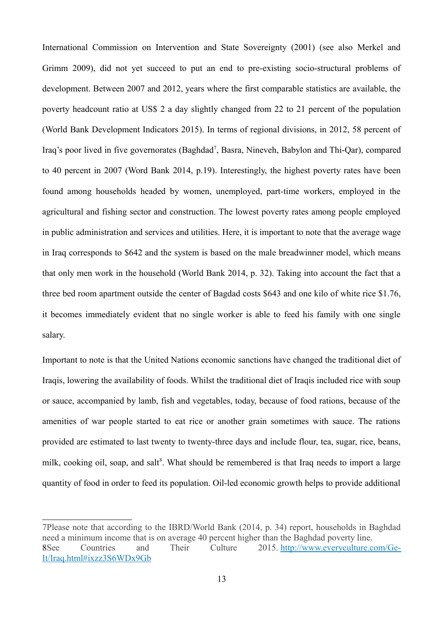International Commission on Intervention and State Sovereignty (2001) (see also Merkel and Grimm 2009), did not yet succeed to put an end to pre-existing socio-structural problems of development. Between 2007 and 2012, years where the first comparable statistics are available, the poverty headcount ratio at US\$ 2 a day slightly changed from 22 to 21 percent of the population (World Bank Development Indicators 2015). In terms of regional divisions, in 2012, 58 percent of Iraq's poor lived in five governorates (Baghdad<sup>7</sup>, Basra, Nineveh, Babylon and Thi-Qar), compared to 40 percent in 2007 (Word Bank 2014, p.19). Interestingly, the highest poverty rates have been found among households headed by women, unemployed, part-time workers, employed in the agricultural and fishing sector and construction. The lowest poverty rates among people employed in public administration and services and utilities. Here, it is important to note that the average wage in Iraq corresponds to \$642 and the system is based on the male breadwinner model, which means that only men work in the household (World Bank 2014, p. 32). Taking into account the fact that a three bed room apartment outside the center of Bagdad costs \$643 and one kilo of white rice \$1.76, it becomes immediately evident that no single worker is able to feed his family with one single salary.

Important to note is that the United Nations economic sanctions have changed the traditional diet of Iraqis, lowering the availability of foods. Whilst the traditional diet of Iraqis included rice with soup or sauce, accompanied by lamb, fish and vegetables, today, because of food rations, because of the amenities of war people started to eat rice or another grain sometimes with sauce. The rations provided are estimated to last twenty to twenty-three days and include flour, tea, sugar, rice, beans, milk, cooking oil, soap, and salt<sup>8</sup>. What should be remembered is that Iraq needs to import a large quantity of food in order to feed its population. Oil-led economic growth helps to provide additional

<sup>7</sup>Please note that according to the IBRD/World Bank (2014, p. 34) report, households in Baghdad need a minimum income that is on average 40 percent higher than the Baghdad poverty line. 8See Countries and Their Culture 2015. http://www.everyculture.com/Ge-It/Iraq.html#ixzz3S6WDx9Gb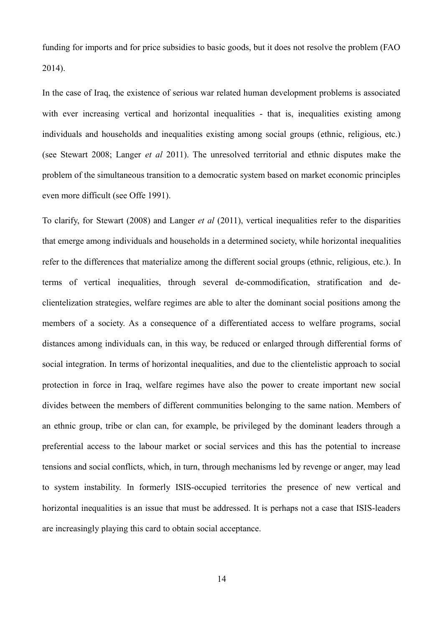funding for imports and for price subsidies to basic goods, but it does not resolve the problem (FAO 2014).

In the case of Iraq, the existence of serious war related human development problems is associated with ever increasing vertical and horizontal inequalities - that is, inequalities existing among individuals and households and inequalities existing among social groups (ethnic, religious, etc.) (see Stewart 2008; Langer *et al* 2011). The unresolved territorial and ethnic disputes make the problem of the simultaneous transition to a democratic system based on market economic principles even more difficult (see Offe 1991).

To clarify, for Stewart (2008) and Langer *et al* (2011), vertical inequalities refer to the disparities that emerge among individuals and households in a determined society, while horizontal inequalities refer to the differences that materialize among the different social groups (ethnic, religious, etc.). In terms of vertical inequalities, through several de-commodification, stratification and declientelization strategies, welfare regimes are able to alter the dominant social positions among the members of a society. As a consequence of a differentiated access to welfare programs, social distances among individuals can, in this way, be reduced or enlarged through differential forms of social integration. In terms of horizontal inequalities, and due to the clientelistic approach to social protection in force in Iraq, welfare regimes have also the power to create important new social divides between the members of different communities belonging to the same nation. Members of an ethnic group, tribe or clan can, for example, be privileged by the dominant leaders through a preferential access to the labour market or social services and this has the potential to increase tensions and social conflicts, which, in turn, through mechanisms led by revenge or anger, may lead to system instability. In formerly ISIS-occupied territories the presence of new vertical and horizontal inequalities is an issue that must be addressed. It is perhaps not a case that ISIS-leaders are increasingly playing this card to obtain social acceptance.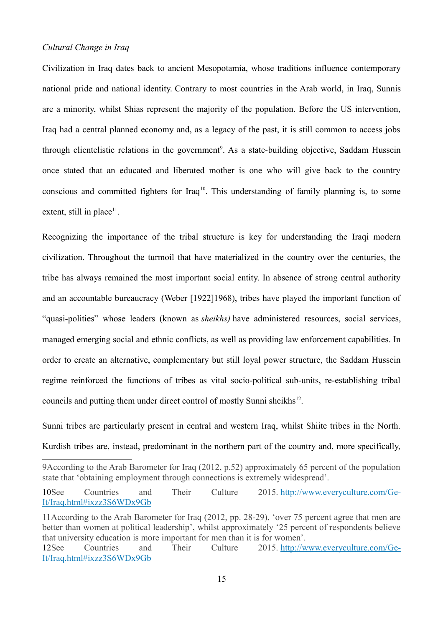## *Cultural Change in Iraq*

Civilization in Iraq dates back to ancient Mesopotamia, whose traditions influence contemporary national pride and national identity. Contrary to most countries in the Arab world, in Iraq, Sunnis are a minority, whilst Shias represent the majority of the population. Before the US intervention, Iraq had a central planned economy and, as a legacy of the past, it is still common to access jobs through clientelistic relations in the government<sup>9</sup>. As a state-building objective, Saddam Hussein once stated that an educated and liberated mother is one who will give back to the country conscious and committed fighters for Iraq<sup>10</sup>. This understanding of family planning is, to some extent, still in place<sup>11</sup>.

Recognizing the importance of the tribal structure is key for understanding the Iraqi modern civilization. Throughout the turmoil that have materialized in the country over the centuries, the tribe has always remained the most important social entity. In absence of strong central authority and an accountable bureaucracy (Weber [1922]1968), tribes have played the important function of "quasi-polities" whose leaders (known as *sheikhs)* have administered resources, social services, managed emerging social and ethnic conflicts, as well as providing law enforcement capabilities. In order to create an alternative, complementary but still loyal power structure, the Saddam Hussein regime reinforced the functions of tribes as vital socio-political sub-units, re-establishing tribal councils and putting them under direct control of mostly Sunni sheikhs<sup>12</sup>.

Sunni tribes are particularly present in central and western Iraq, whilst Shiite tribes in the North. Kurdish tribes are, instead, predominant in the northern part of the country and, more specifically,

15

<sup>9</sup>According to the Arab Barometer for Iraq (2012, p.52) approximately 65 percent of the population state that 'obtaining employment through connections is extremely widespread'.

<sup>10</sup>See Countries and Their Culture 2015. http://www.everyculture.com/Ge-It/Iraq.html#ixzz3S6WDx9Gb

<sup>11</sup>According to the Arab Barometer for Iraq (2012, pp. 28-29), 'over 75 percent agree that men are better than women at political leadership', whilst approximately '25 percent of respondents believe that university education is more important for men than it is for women'.

<sup>12</sup>See Countries and Their Culture 2015. http://www.everyculture.com/Ge-It/Iraq.html#ixzz3S6WDx9Gb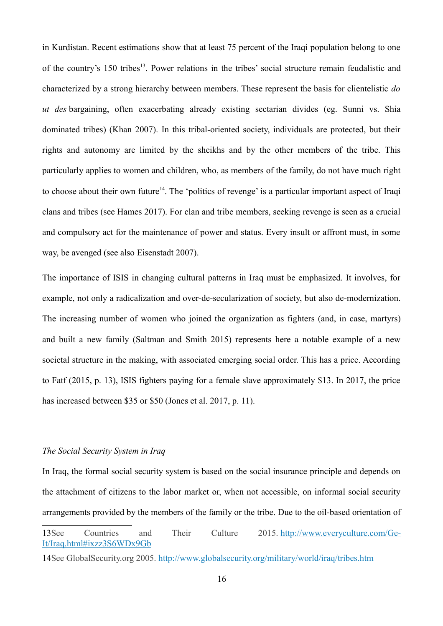in Kurdistan. Recent estimations show that at least 75 percent of the Iraqi population belong to one of the country's 150 tribes<sup>13</sup>. Power relations in the tribes' social structure remain feudalistic and characterized by a strong hierarchy between members. These represent the basis for clientelistic *do ut des* bargaining, often exacerbating already existing sectarian divides (eg. Sunni vs. Shia dominated tribes) (Khan 2007). In this tribal-oriented society, individuals are protected, but their rights and autonomy are limited by the sheikhs and by the other members of the tribe. This particularly applies to women and children, who, as members of the family, do not have much right to choose about their own future<sup>14</sup>. The 'politics of revenge' is a particular important aspect of Iraqi clans and tribes (see Hames 2017). For clan and tribe members, seeking revenge is seen as a crucial and compulsory act for the maintenance of power and status. Every insult or affront must, in some way, be avenged (see also Eisenstadt 2007).

The importance of ISIS in changing cultural patterns in Iraq must be emphasized. It involves, for example, not only a radicalization and over-de-secularization of society, but also de-modernization. The increasing number of women who joined the organization as fighters (and, in case, martyrs) and built a new family (Saltman and Smith 2015) represents here a notable example of a new societal structure in the making, with associated emerging social order. This has a price. According to Fatf (2015, p. 13), ISIS fighters paying for a female slave approximately \$13. In 2017, the price has increased between \$35 or \$50 (Jones et al. 2017, p. 11).

# *The Social Security System in Iraq*

In Iraq, the formal social security system is based on the social insurance principle and depends on the attachment of citizens to the labor market or, when not accessible, on informal social security arrangements provided by the members of the family or the tribe. Due to the oil-based orientation of

<sup>13</sup>See Countries and Their Culture 2015. http://www.everyculture.com/Ge-It/Iraq.html#ixzz3S6WDx9Gb

<sup>14</sup>See GlobalSecurity.org 2005. http://www.globalsecurity.org/military/world/iraq/tribes.htm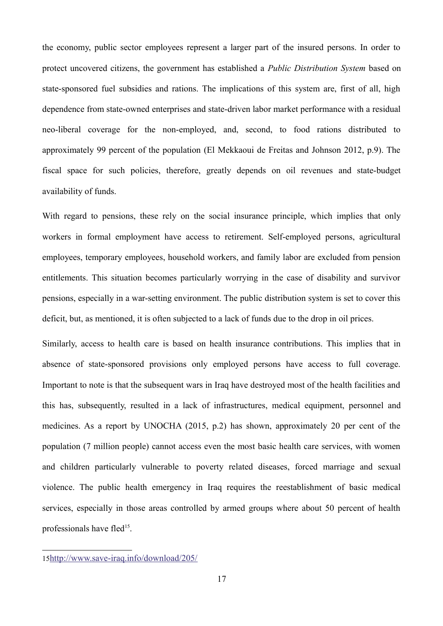the economy, public sector employees represent a larger part of the insured persons. In order to protect uncovered citizens, the government has established a *Public Distribution System* based on state-sponsored fuel subsidies and rations. The implications of this system are, first of all, high dependence from state-owned enterprises and state-driven labor market performance with a residual neo-liberal coverage for the non-employed, and, second, to food rations distributed to approximately 99 percent of the population (El Mekkaoui de Freitas and Johnson 2012, p.9). The fiscal space for such policies, therefore, greatly depends on oil revenues and state-budget availability of funds.

With regard to pensions, these rely on the social insurance principle, which implies that only workers in formal employment have access to retirement. Self-employed persons, agricultural employees, temporary employees, household workers, and family labor are excluded from pension entitlements. This situation becomes particularly worrying in the case of disability and survivor pensions, especially in a war-setting environment. The public distribution system is set to cover this deficit, but, as mentioned, it is often subjected to a lack of funds due to the drop in oil prices.

Similarly, access to health care is based on health insurance contributions. This implies that in absence of state-sponsored provisions only employed persons have access to full coverage. Important to note is that the subsequent wars in Iraq have destroyed most of the health facilities and this has, subsequently, resulted in a lack of infrastructures, medical equipment, personnel and medicines. As a report by UNOCHA (2015, p.2) has shown, approximately 20 per cent of the population (7 million people) cannot access even the most basic health care services, with women and children particularly vulnerable to poverty related diseases, forced marriage and sexual violence. The public health emergency in Iraq requires the reestablishment of basic medical services, especially in those areas controlled by armed groups where about 50 percent of health professionals have fled<sup>15</sup>.

<sup>15</sup>http://www.save-iraq.info/download/205/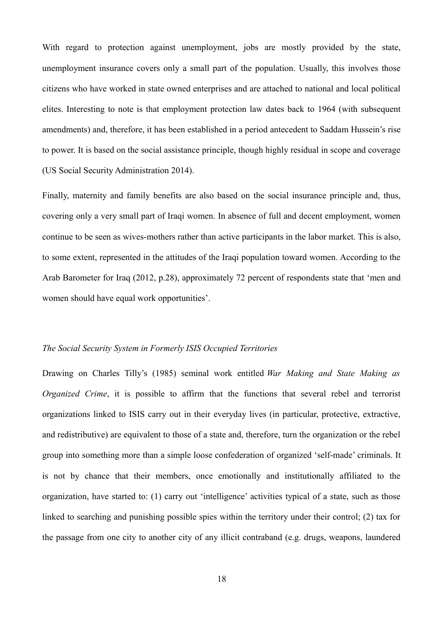With regard to protection against unemployment, jobs are mostly provided by the state, unemployment insurance covers only a small part of the population. Usually, this involves those citizens who have worked in state owned enterprises and are attached to national and local political elites. Interesting to note is that employment protection law dates back to 1964 (with subsequent amendments) and, therefore, it has been established in a period antecedent to Saddam Hussein's rise to power. It is based on the social assistance principle, though highly residual in scope and coverage (US Social Security Administration 2014).

Finally, maternity and family benefits are also based on the social insurance principle and, thus, covering only a very small part of Iraqi women. In absence of full and decent employment, women continue to be seen as wives-mothers rather than active participants in the labor market. This is also, to some extent, represented in the attitudes of the Iraqi population toward women. According to the Arab Barometer for Iraq (2012, p.28), approximately 72 percent of respondents state that 'men and women should have equal work opportunities'.

## *The Social Security System in Formerly ISIS Occupied Territories*

Drawing on Charles Tilly's (1985) seminal work entitled *War Making and State Making as Organized Crime*, it is possible to affirm that the functions that several rebel and terrorist organizations linked to ISIS carry out in their everyday lives (in particular, protective, extractive, and redistributive) are equivalent to those of a state and, therefore, turn the organization or the rebel group into something more than a simple loose confederation of organized 'self-made' criminals. It is not by chance that their members, once emotionally and institutionally affiliated to the organization, have started to: (1) carry out 'intelligence' activities typical of a state, such as those linked to searching and punishing possible spies within the territory under their control; (2) tax for the passage from one city to another city of any illicit contraband (e.g. drugs, weapons, laundered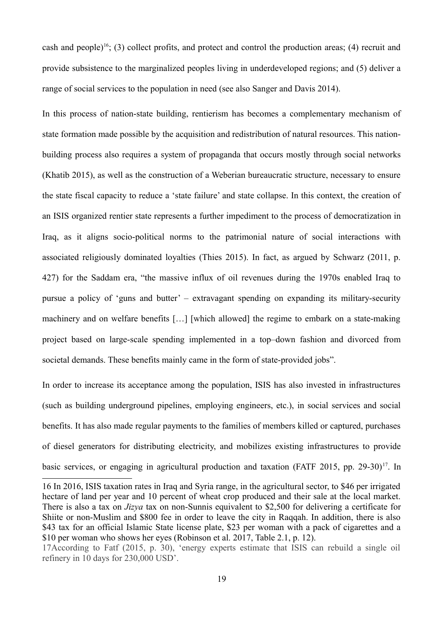cash and people)<sup>16</sup>; (3) collect profits, and protect and control the production areas; (4) recruit and provide subsistence to the marginalized peoples living in underdeveloped regions; and (5) deliver a range of social services to the population in need (see also Sanger and Davis 2014).

In this process of nation-state building, rentierism has becomes a complementary mechanism of state formation made possible by the acquisition and redistribution of natural resources. This nationbuilding process also requires a system of propaganda that occurs mostly through social networks (Khatib 2015), as well as the construction of a Weberian bureaucratic structure, necessary to ensure the state fiscal capacity to reduce a 'state failure' and state collapse. In this context, the creation of an ISIS organized rentier state represents a further impediment to the process of democratization in Iraq, as it aligns socio-political norms to the patrimonial nature of social interactions with associated religiously dominated loyalties (Thies 2015). In fact, as argued by Schwarz (2011, p. 427) for the Saddam era, "the massive influx of oil revenues during the 1970s enabled Iraq to pursue a policy of 'guns and butter' – extravagant spending on expanding its military-security machinery and on welfare benefits […] [which allowed] the regime to embark on a state-making project based on large-scale spending implemented in a top–down fashion and divorced from societal demands. These benefits mainly came in the form of state-provided jobs".

In order to increase its acceptance among the population, ISIS has also invested in infrastructures (such as building underground pipelines, employing engineers, etc.), in social services and social benefits. It has also made regular payments to the families of members killed or captured, purchases of diesel generators for distributing electricity, and mobilizes existing infrastructures to provide basic services, or engaging in agricultural production and taxation (FATF 2015, pp. 29-30)<sup>17</sup>. In

<sup>16</sup> In 2016, ISIS taxation rates in Iraq and Syria range, in the agricultural sector, to \$46 per irrigated hectare of land per year and 10 percent of wheat crop produced and their sale at the local market. There is also a tax on *Jizya* tax on non-Sunnis equivalent to \$2,500 for delivering a certificate for Shiite or non-Muslim and \$800 fee in order to leave the city in Raqqah. In addition, there is also \$43 tax for an official Islamic State license plate, \$23 per woman with a pack of cigarettes and a \$10 per woman who shows her eyes (Robinson et al. 2017, Table 2.1, p. 12).

<sup>17</sup>According to Fatf (2015, p. 30), 'energy experts estimate that ISIS can rebuild a single oil refinery in 10 days for 230,000 USD'.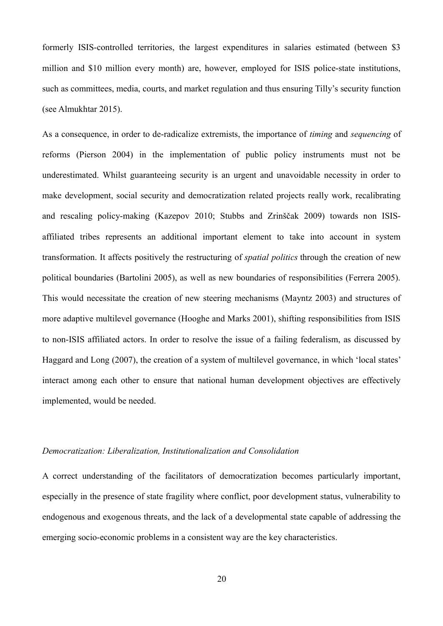formerly ISIS-controlled territories, the largest expenditures in salaries estimated (between \$3 million and \$10 million every month) are, however, employed for ISIS police-state institutions, such as committees, media, courts, and market regulation and thus ensuring Tilly's security function (see Almukhtar 2015).

As a consequence, in order to de-radicalize extremists, the importance of *timing* and *sequencing* of reforms (Pierson 2004) in the implementation of public policy instruments must not be underestimated. Whilst guaranteeing security is an urgent and unavoidable necessity in order to make development, social security and democratization related projects really work, recalibrating and rescaling policy-making (Kazepov 2010; Stubbs and Zrinščak 2009) towards non ISISaffiliated tribes represents an additional important element to take into account in system transformation. It affects positively the restructuring of *spatial politics* through the creation of new political boundaries (Bartolini 2005), as well as new boundaries of responsibilities (Ferrera 2005). This would necessitate the creation of new steering mechanisms (Mayntz 2003) and structures of more adaptive multilevel governance (Hooghe and Marks 2001), shifting responsibilities from ISIS to non-ISIS affiliated actors. In order to resolve the issue of a failing federalism, as discussed by Haggard and Long (2007), the creation of a system of multilevel governance, in which 'local states' interact among each other to ensure that national human development objectives are effectively implemented, would be needed.

## *Democratization: Liberalization, Institutionalization and Consolidation*

A correct understanding of the facilitators of democratization becomes particularly important, especially in the presence of state fragility where conflict, poor development status, vulnerability to endogenous and exogenous threats, and the lack of a developmental state capable of addressing the emerging socio-economic problems in a consistent way are the key characteristics.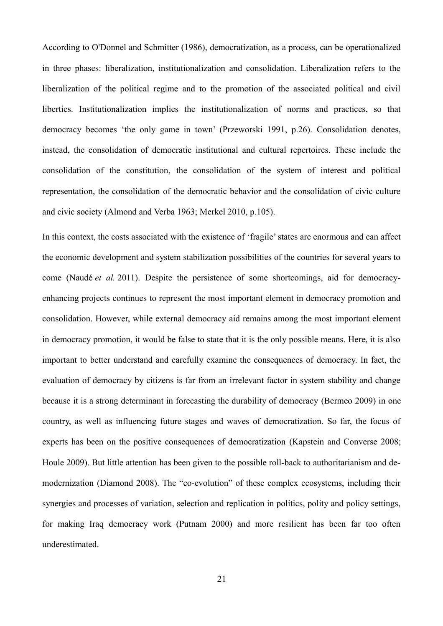According to O'Donnel and Schmitter (1986), democratization, as a process, can be operationalized in three phases: liberalization, institutionalization and consolidation. Liberalization refers to the liberalization of the political regime and to the promotion of the associated political and civil liberties. Institutionalization implies the institutionalization of norms and practices, so that democracy becomes 'the only game in town' (Przeworski 1991, p.26). Consolidation denotes, instead, the consolidation of democratic institutional and cultural repertoires. These include the consolidation of the constitution, the consolidation of the system of interest and political representation, the consolidation of the democratic behavior and the consolidation of civic culture and civic society (Almond and Verba 1963; Merkel 2010, p.105).

In this context, the costs associated with the existence of 'fragile' states are enormous and can affect the economic development and system stabilization possibilities of the countries for several years to come (Naudé *et al.* 2011). Despite the persistence of some shortcomings, aid for democracyenhancing projects continues to represent the most important element in democracy promotion and consolidation. However, while external democracy aid remains among the most important element in democracy promotion, it would be false to state that it is the only possible means. Here, it is also important to better understand and carefully examine the consequences of democracy. In fact, the evaluation of democracy by citizens is far from an irrelevant factor in system stability and change because it is a strong determinant in forecasting the durability of democracy (Bermeo 2009) in one country, as well as influencing future stages and waves of democratization. So far, the focus of experts has been on the positive consequences of democratization (Kapstein and Converse 2008; Houle 2009). But little attention has been given to the possible roll-back to authoritarianism and demodernization (Diamond 2008). The "co-evolution" of these complex ecosystems, including their synergies and processes of variation, selection and replication in politics, polity and policy settings, for making Iraq democracy work (Putnam 2000) and more resilient has been far too often underestimated.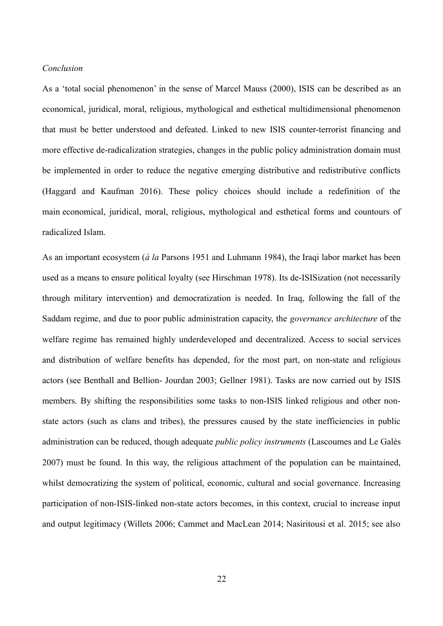#### *Conclusion*

As a 'total social phenomenon' in the sense of Marcel Mauss (2000), ISIS can be described as an economical, juridical, moral, religious, mythological and esthetical multidimensional phenomenon that must be better understood and defeated. Linked to new ISIS counter-terrorist financing and more effective de-radicalization strategies, changes in the public policy administration domain must be implemented in order to reduce the negative emerging distributive and redistributive conflicts (Haggard and Kaufman 2016). These policy choices should include a redefinition of the main economical, juridical, moral, religious, mythological and esthetical forms and countours of radicalized Islam.

As an important ecosystem (*à la* Parsons 1951 and Luhmann 1984), the Iraqi labor market has been used as a means to ensure political loyalty (see Hirschman 1978). Its de-ISISization (not necessarily through military intervention) and democratization is needed. In Iraq, following the fall of the Saddam regime, and due to poor public administration capacity, the *governance architecture* of the welfare regime has remained highly underdeveloped and decentralized. Access to social services and distribution of welfare benefits has depended, for the most part, on non-state and religious actors (see Benthall and Bellion- Jourdan 2003; Gellner 1981). Tasks are now carried out by ISIS members. By shifting the responsibilities some tasks to non-ISIS linked religious and other nonstate actors (such as clans and tribes), the pressures caused by the state inefficiencies in public administration can be reduced, though adequate *public policy instruments* (Lascoumes and Le Galès 2007) must be found. In this way, the religious attachment of the population can be maintained, whilst democratizing the system of political, economic, cultural and social governance. Increasing participation of non-ISIS-linked non-state actors becomes, in this context, crucial to increase input and output legitimacy (Willets 2006; Cammet and MacLean 2014; Nasiritousi et al. 2015; see also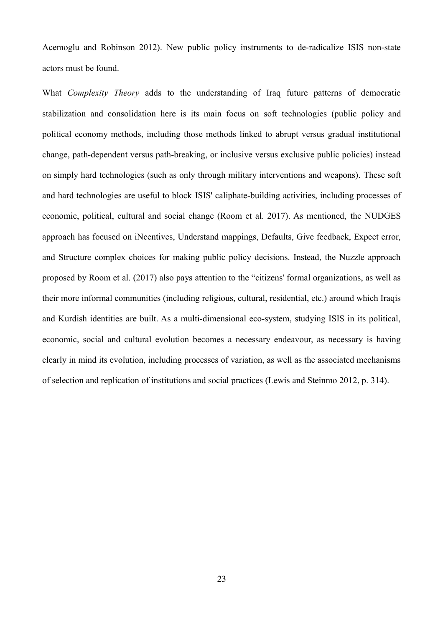Acemoglu and Robinson 2012). New public policy instruments to de-radicalize ISIS non-state actors must be found.

What *Complexity Theory* adds to the understanding of Iraq future patterns of democratic stabilization and consolidation here is its main focus on soft technologies (public policy and political economy methods, including those methods linked to abrupt versus gradual institutional change, path-dependent versus path-breaking, or inclusive versus exclusive public policies) instead on simply hard technologies (such as only through military interventions and weapons). These soft and hard technologies are useful to block ISIS' caliphate-building activities, including processes of economic, political, cultural and social change (Room et al. 2017). As mentioned, the NUDGES approach has focused on iNcentives, Understand mappings, Defaults, Give feedback, Expect error, and Structure complex choices for making public policy decisions. Instead, the Nuzzle approach proposed by Room et al. (2017) also pays attention to the "citizens' formal organizations, as well as their more informal communities (including religious, cultural, residential, etc.) around which Iraqis and Kurdish identities are built. As a multi-dimensional eco-system, studying ISIS in its political, economic, social and cultural evolution becomes a necessary endeavour, as necessary is having clearly in mind its evolution, including processes of variation, as well as the associated mechanisms of selection and replication of institutions and social practices (Lewis and Steinmo 2012, p. 314).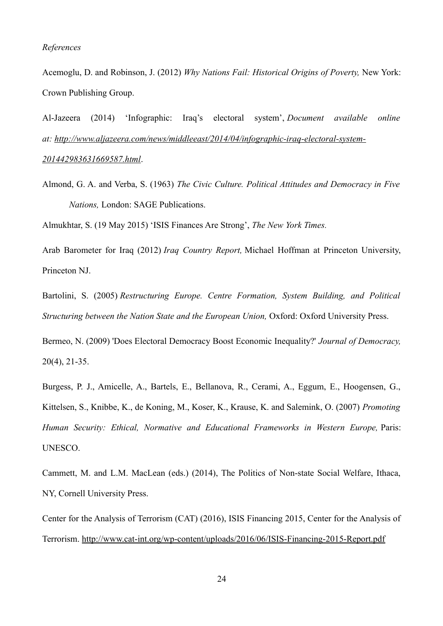### *References*

Acemoglu, D. and Robinson, J. (2012) *Why Nations Fail: Historical Origins of Poverty,* New York: Crown Publishing Group.

Al-Jazeera (2014) 'Infographic: Iraq's electoral system', *Document available online at: http://www.aljazeera.com/news/middleeast/2014/04/infographic-iraq-electoral-system-201442983631669587.html*.

Almond, G. A. and Verba, S. (1963) *The Civic Culture. Political Attitudes and Democracy in Five Nations,* London: SAGE Publications.

Almukhtar, S. (19 May 2015) 'ISIS Finances Are Strong', *The New York Times.*

Arab Barometer for Iraq (2012) *Iraq Country Report,* Michael Hoffman at Princeton University, Princeton NJ.

Bartolini, S. (2005) *Restructuring Europe. Centre Formation, System Building, and Political Structuring between the Nation State and the European Union,* Oxford: Oxford University Press.

Bermeo, N. (2009) 'Does Electoral Democracy Boost Economic Inequality?' *Journal of Democracy,* 20(4), 21-35.

Burgess, P. J., Amicelle, A., Bartels, E., Bellanova, R., Cerami, A., Eggum, E., Hoogensen, G., Kittelsen, S., Knibbe, K., de Koning, M., Koser, K., Krause, K. and Salemink, O. (2007) *Promoting Human Security: Ethical, Normative and Educational Frameworks in Western Europe,* Paris: UNESCO.

Cammett, M. and L.M. MacLean (eds.) (2014), The Politics of Non-state Social Welfare, Ithaca, NY, Cornell University Press.

Center for the Analysis of Terrorism (CAT) (2016), ISIS Financing 2015, Center for the Analysis of Terrorism. http://www.cat-int.org/wp-content/uploads/2016/06/ISIS-Financing-2015-Report.pdf

24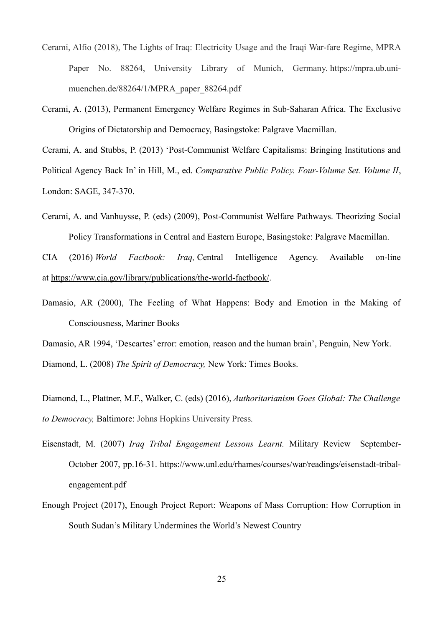- Cerami, Alfio (2018), The Lights of Iraq: Electricity Usage and the Iraqi War-fare Regime, MPRA Paper No. 88264, University Library of Munich, Germany. https://mpra.ub.unimuenchen.de/88264/1/MPRA\_paper\_88264.pdf
- Cerami, A. (2013), Permanent Emergency Welfare Regimes in Sub-Saharan Africa. The Exclusive Origins of Dictatorship and Democracy, Basingstoke: Palgrave Macmillan.

Cerami, A. and Stubbs, P. (2013) 'Post-Communist Welfare Capitalisms: Bringing Institutions and Political Agency Back In' in Hill, M., ed. *Comparative Public Policy. Four-Volume Set. Volume II*, London: SAGE, 347-370.

Cerami, A. and Vanhuysse, P. (eds) (2009), Post-Communist Welfare Pathways. Theorizing Social Policy Transformations in Central and Eastern Europe, Basingstoke: Palgrave Macmillan.

CIA (2016) *World Factbook: Iraq,* Central Intelligence Agency. Available on-line at https://www.cia.gov/library/publications/the-world-factbook/.

Damasio, AR (2000), The Feeling of What Happens: Body and Emotion in the Making of Consciousness, Mariner Books

Damasio, AR 1994, 'Descartes' error: emotion, reason and the human brain', Penguin, New York. Diamond, L. (2008) *The Spirit of Democracy,* New York: Times Books.

Diamond, L., Plattner, M.F., Walker, C. (eds) (2016), *Authoritarianism Goes Global: The Challenge to Democracy,* Baltimore: Johns Hopkins University Press*.*

- Eisenstadt, M. (2007) *Iraq Tribal Engagement Lessons Learnt.* Military Review September-October 2007, pp.16-31. https://www.unl.edu/rhames/courses/war/readings/eisenstadt-tribalengagement.pdf
- Enough Project (2017), Enough Project Report: Weapons of Mass Corruption: How Corruption in South Sudan's Military Undermines the World's Newest Country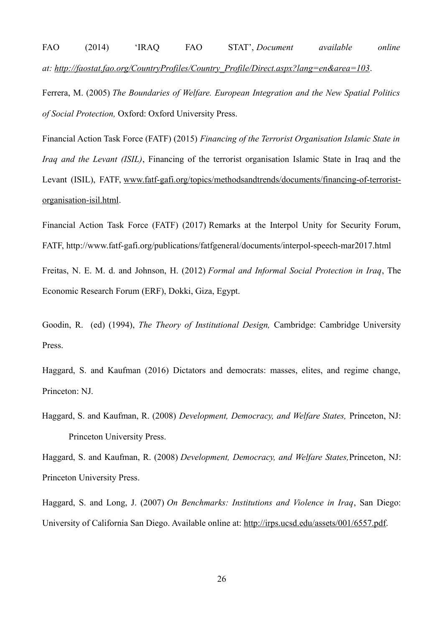FAO (2014) 'IRAQ FAO STAT', *Document available online at: http://faostat.fao.org/CountryProfiles/Country\_Profile/Direct.aspx?lang=en&area=103*.

Ferrera, M. (2005) *The Boundaries of Welfare. European Integration and the New Spatial Politics of Social Protection,* Oxford: Oxford University Press.

Financial Action Task Force (FATF) (2015) *Financing of the Terrorist Organisation Islamic State in Iraq and the Levant (ISIL)*, Financing of the terrorist organisation Islamic State in Iraq and the Levant (ISIL), FATF, www.fatf-gafi.org/topics/methodsandtrends/documents/financing-of-terroristorganisation-isil.html.

Financial Action Task Force (FATF) (2017) Remarks at the Interpol Unity for Security Forum, FATF, http://www.fatf-gafi.org/publications/fatfgeneral/documents/interpol-speech-mar2017.html

Freitas, N. E. M. d. and Johnson, H. (2012) *Formal and Informal Social Protection in Iraq*, The Economic Research Forum (ERF), Dokki, Giza, Egypt.

Goodin, R. (ed) (1994), *The Theory of Institutional Design,* Cambridge: Cambridge University Press.

Haggard, S. and Kaufman (2016) Dictators and democrats: masses, elites, and regime change, Princeton: NJ.

Haggard, S. and Kaufman, R. (2008) *Development, Democracy, and Welfare States,* Princeton, NJ: Princeton University Press.

Haggard, S. and Kaufman, R. (2008) *Development, Democracy, and Welfare States,*Princeton, NJ: Princeton University Press.

Haggard, S. and Long, J. (2007) *On Benchmarks: Institutions and Violence in Iraq*, San Diego: University of California San Diego. Available online at: http://irps.ucsd.edu/assets/001/6557.pdf.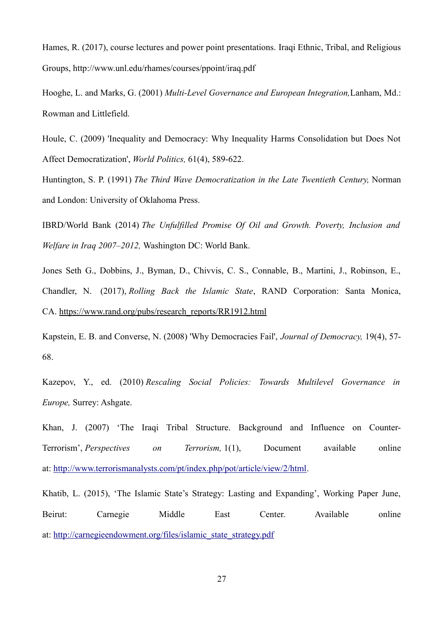Hames, R. (2017), course lectures and power point presentations. Iraqi Ethnic, Tribal, and Religious Groups, http://www.unl.edu/rhames/courses/ppoint/iraq.pdf

Hooghe, L. and Marks, G. (2001) *Multi-Level Governance and European Integration,*Lanham, Md.: Rowman and Littlefield.

Houle, C. (2009) 'Inequality and Democracy: Why Inequality Harms Consolidation but Does Not Affect Democratization', *World Politics,* 61(4), 589-622.

Huntington, S. P. (1991) *The Third Wave Democratization in the Late Twentieth Century,* Norman and London: University of Oklahoma Press.

IBRD/World Bank (2014) *The Unfulfilled Promise Of Oil and Growth. Poverty, Inclusion and Welfare in Iraq 2007–2012,* Washington DC: World Bank.

Jones Seth G., Dobbins, J., Byman, D., Chivvis, C. S., Connable, B., Martini, J., Robinson, E., Chandler, N. (2017), *Rolling Back the Islamic State*, RAND Corporation: Santa Monica, CA. https://www.rand.org/pubs/research\_reports/RR1912.html

Kapstein, E. B. and Converse, N. (2008) 'Why Democracies Fail', *Journal of Democracy,* 19(4), 57- 68.

Kazepov, Y., ed. (2010) *Rescaling Social Policies: Towards Multilevel Governance in Europe,* Surrey: Ashgate.

Khan, J. (2007) 'The Iraqi Tribal Structure. Background and Influence on Counter-Terrorism', *Perspectives on Terrorism,* 1(1), Document available online at: http://www.terrorismanalysts.com/pt/index.php/pot/article/view/2/html.

Khatib, L. (2015), 'The Islamic State's Strategy: Lasting and Expanding', Working Paper June, Beirut: Carnegie Middle East Center. Available online at: http://carnegieendowment.org/files/islamic\_state\_strategy.pdf

27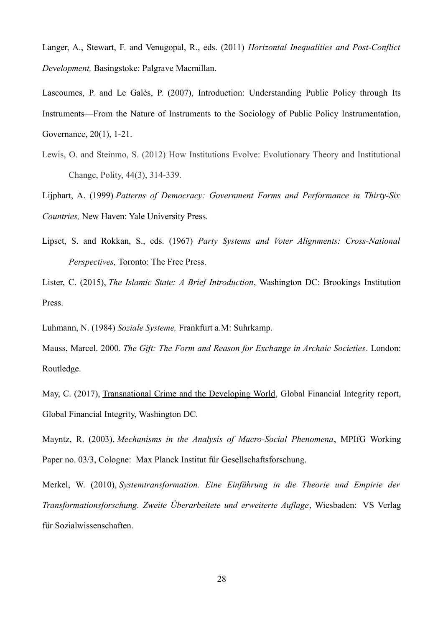Langer, A., Stewart, F. and Venugopal, R., eds. (2011) *Horizontal Inequalities and Post-Conflict Development,* Basingstoke: Palgrave Macmillan.

Lascoumes, P. and Le Galès, P. (2007), Introduction: Understanding Public Policy through Its Instruments—From the Nature of Instruments to the Sociology of Public Policy Instrumentation, Governance, 20(1), 1-21.

Lewis, O. and Steinmo, S. (2012) How Institutions Evolve: Evolutionary Theory and Institutional Change, Polity, 44(3), 314-339.

Lijphart, A. (1999) *Patterns of Democracy: Government Forms and Performance in Thirty-Six Countries,* New Haven: Yale University Press.

Lipset, S. and Rokkan, S., eds. (1967) *Party Systems and Voter Alignments: Cross-National Perspectives,* Toronto: The Free Press.

Lister, C. (2015), *The Islamic State: A Brief Introduction*, Washington DC: Brookings Institution Press.

Luhmann, N. (1984) *Soziale Systeme,* Frankfurt a.M: Suhrkamp.

Mauss, Marcel. 2000. *The Gift: The Form and Reason for Exchange in Archaic Societies*. London: Routledge.

May, C. (2017), Transnational Crime and the Developing World, Global Financial Integrity report, Global Financial Integrity, Washington DC.

Mayntz, R. (2003), *Mechanisms in the Analysis of Macro-Social Phenomena*, MPIfG Working Paper no. 03/3, Cologne: Max Planck Institut für Gesellschaftsforschung.

Merkel, W. (2010), *Systemtransformation. Eine Einführung in die Theorie und Empirie der Transformationsforschung. Zweite Überarbeitete und erweiterte Auflage*, Wiesbaden: VS Verlag für Sozialwissenschaften.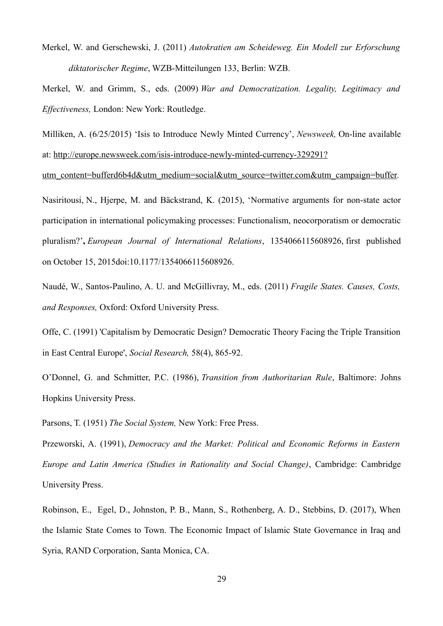Merkel, W. and Gerschewski, J. (2011) *Autokratien am Scheideweg. Ein Modell zur Erforschung diktatorischer Regime*, WZB-Mitteilungen 133, Berlin: WZB.

Merkel, W. and Grimm, S., eds. (2009) *War and Democratization. Legality, Legitimacy and Effectiveness,* London: New York: Routledge.

Milliken, A. (6/25/2015) 'Isis to Introduce Newly Minted Currency', *Newsweek,* On-line available at: http://europe.newsweek.com/isis-introduce-newly-minted-currency-329291?

utm\_content=bufferd6b4d&utm\_medium=social&utm\_source=twitter.com&utm\_campaign=buffer.

Nasiritousi, N., Hjerpe, M. and Bäckstrand, K. (2015), 'Normative arguments for non-state actor participation in international policymaking processes: Functionalism, neocorporatism or democratic pluralism?'**,** *European Journal of International Relations*, 1354066115608926, first published on October 15, 2015doi:10.1177/1354066115608926.

Naudé, W., Santos-Paulino, A. U. and McGillivray, M., eds. (2011) *Fragile States. Causes, Costs, and Responses,* Oxford: Oxford University Press.

Offe, C. (1991) 'Capitalism by Democratic Design? Democratic Theory Facing the Triple Transition in East Central Europe', *Social Research,* 58(4), 865-92.

O'Donnel, G. and Schmitter, P.C. (1986), *Transition from Authoritarian Rule*, Baltimore: Johns Hopkins University Press.

Parsons, T. (1951) *The Social System,* New York: Free Press.

Przeworski, A. (1991), *Democracy and the Market: Political and Economic Reforms in Eastern Europe and Latin America (Studies in Rationality and Social Change)*, Cambridge: Cambridge University Press.

Robinson, E., Egel, D., Johnston, P. B., Mann, S., Rothenberg, A. D., Stebbins, D. (2017), When the Islamic State Comes to Town. The Economic Impact of Islamic State Governance in Iraq and Syria, RAND Corporation, Santa Monica, CA.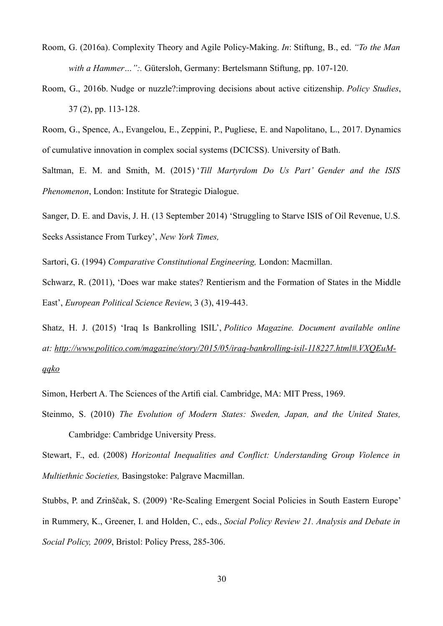- Room, G. (2016a). Complexity Theory and Agile Policy-Making. *In*: Stiftung, B., ed. *"To the Man with a Hammer…":.* Gütersloh, Germany: Bertelsmann Stiftung, pp. 107-120.
- Room, G., 2016b. Nudge or nuzzle?:improving decisions about active citizenship. *Policy Studies*, 37 (2), pp. 113-128.

Room, G., Spence, A., Evangelou, E., Zeppini, P., Pugliese, E. and Napolitano, L., 2017. Dynamics of cumulative innovation in complex social systems (DCICSS). University of Bath.

Saltman, E. M. and Smith, M. (2015) '*Till Martyrdom Do Us Part' Gender and the ISIS Phenomenon*, London: Institute for Strategic Dialogue.

Sanger, D. E. and Davis, J. H. (13 September 2014) 'Struggling to Starve ISIS of Oil Revenue, U.S. Seeks Assistance From Turkey', *New York Times,*

Sartori, G. (1994) *Comparative Constitutional Engineering,* London: Macmillan.

Schwarz, R. (2011), 'Does war make states? Rentierism and the Formation of States in the Middle East', *European Political Science Review*, 3 (3), 419-443.

Shatz, H. J. (2015) 'Iraq Is Bankrolling ISIL', *Politico Magazine. Document available online at: http://www.politico.com/magazine/story/2015/05/iraq-bankrolling-isil-118227.html#.VXQEuMqqko*

Simon, Herbert A. The Sciences of the Artifi cial. Cambridge, MA: MIT Press, 1969.

Steinmo, S. (2010) *The Evolution of Modern States: Sweden, Japan, and the United States,* Cambridge: Cambridge University Press.

Stewart, F., ed. (2008) *Horizontal Inequalities and Conflict: Understanding Group Violence in Multiethnic Societies,* Basingstoke: Palgrave Macmillan.

Stubbs, P. and Zrinščak, S. (2009) 'Re-Scaling Emergent Social Policies in South Eastern Europe' in Rummery, K., Greener, I. and Holden, C., eds., *Social Policy Review 21. Analysis and Debate in Social Policy, 2009*, Bristol: Policy Press, 285-306.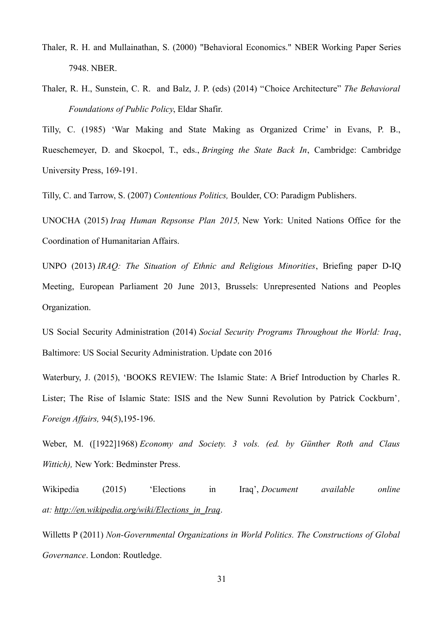- Thaler, R. H. and Mullainathan, S. (2000) "Behavioral Economics." NBER Working Paper Series 7948. NBER.
- Thaler, R. H., Sunstein, C. R. and Balz, J. P. (eds) (2014) "Choice Architecture" *The Behavioral Foundations of Public Policy*, Eldar Shafir.

Tilly, C. (1985) 'War Making and State Making as Organized Crime' in Evans, P. B., Rueschemeyer, D. and Skocpol, T., eds., *Bringing the State Back In*, Cambridge: Cambridge University Press, 169-191.

Tilly, C. and Tarrow, S. (2007) *Contentious Politics,* Boulder, CO: Paradigm Publishers.

UNOCHA (2015) *Iraq Human Repsonse Plan 2015,* New York: United Nations Office for the Coordination of Humanitarian Affairs.

UNPO (2013) *IRAQ: The Situation of Ethnic and Religious Minorities*, Briefing paper D-IQ Meeting, European Parliament 20 June 2013, Brussels: Unrepresented Nations and Peoples Organization.

US Social Security Administration (2014) *Social Security Programs Throughout the World: Iraq*, Baltimore: US Social Security Administration. Update con 2016

Waterbury, J. (2015), 'BOOKS REVIEW: The Islamic State: A Brief Introduction by Charles R. Lister; The Rise of Islamic State: ISIS and the New Sunni Revolution by Patrick Cockburn'*, Foreign Affairs,* 94(5),195-196.

Weber, M. ([1922]1968) *Economy and Society. 3 vols. (ed. by Günther Roth and Claus Wittich),* New York: Bedminster Press.

Wikipedia (2015) 'Elections in Iraq', *Document available online at: http://en.wikipedia.org/wiki/Elections\_in\_Iraq*.

Willetts P (2011) *Non-Governmental Organizations in World Politics. The Constructions of Global Governance*. London: Routledge.